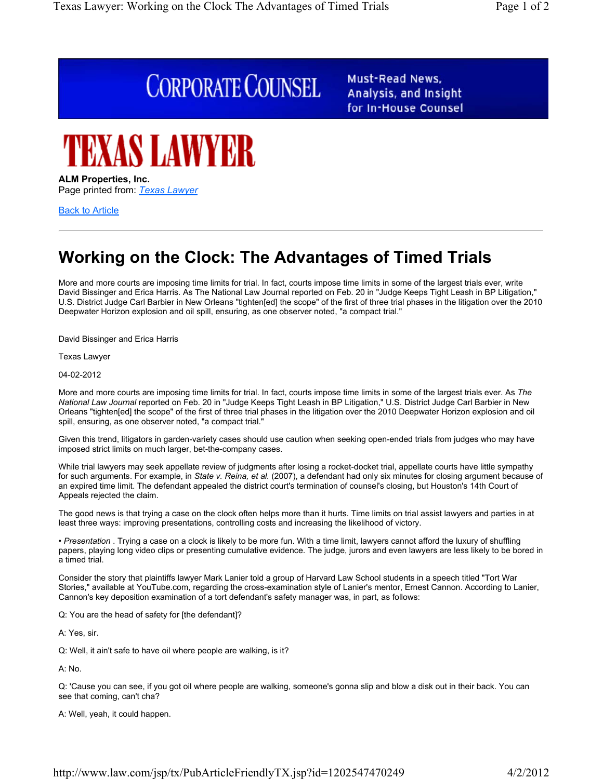# **CORPORATE COUNSEL**

Must-Read News, Analysis, and Insight for In-House Counsel



### **ALM Properties, Inc.** Page printed from: *Texas Lawyer*

Back to Article

## **Working on the Clock: The Advantages of Timed Trials**

More and more courts are imposing time limits for trial. In fact, courts impose time limits in some of the largest trials ever, write David Bissinger and Erica Harris. As The National Law Journal reported on Feb. 20 in "Judge Keeps Tight Leash in BP Litigation," U.S. District Judge Carl Barbier in New Orleans "tighten[ed] the scope" of the first of three trial phases in the litigation over the 2010 Deepwater Horizon explosion and oil spill, ensuring, as one observer noted, "a compact trial."

David Bissinger and Erica Harris

Texas Lawyer

04-02-2012

More and more courts are imposing time limits for trial. In fact, courts impose time limits in some of the largest trials ever. As *The National Law Journal* reported on Feb. 20 in "Judge Keeps Tight Leash in BP Litigation," U.S. District Judge Carl Barbier in New Orleans "tighten[ed] the scope" of the first of three trial phases in the litigation over the 2010 Deepwater Horizon explosion and oil spill, ensuring, as one observer noted, "a compact trial."

Given this trend, litigators in garden-variety cases should use caution when seeking open-ended trials from judges who may have imposed strict limits on much larger, bet-the-company cases.

While trial lawyers may seek appellate review of judgments after losing a rocket-docket trial, appellate courts have little sympathy for such arguments. For example, in *State v. Reina, et al.* (2007), a defendant had only six minutes for closing argument because of an expired time limit. The defendant appealed the district court's termination of counsel's closing, but Houston's 14th Court of Appeals rejected the claim.

The good news is that trying a case on the clock often helps more than it hurts. Time limits on trial assist lawyers and parties in at least three ways: improving presentations, controlling costs and increasing the likelihood of victory.

• *Presentation* . Trying a case on a clock is likely to be more fun. With a time limit, lawyers cannot afford the luxury of shuffling papers, playing long video clips or presenting cumulative evidence. The judge, jurors and even lawyers are less likely to be bored in a timed trial.

Consider the story that plaintiffs lawyer Mark Lanier told a group of Harvard Law School students in a speech titled "Tort War Stories," available at YouTube.com, regarding the cross-examination style of Lanier's mentor, Ernest Cannon. According to Lanier, Cannon's key deposition examination of a tort defendant's safety manager was, in part, as follows:

Q: You are the head of safety for [the defendant]?

A: Yes, sir.

Q: Well, it ain't safe to have oil where people are walking, is it?

A: No.

Q: 'Cause you can see, if you got oil where people are walking, someone's gonna slip and blow a disk out in their back. You can see that coming, can't cha?

A: Well, yeah, it could happen.